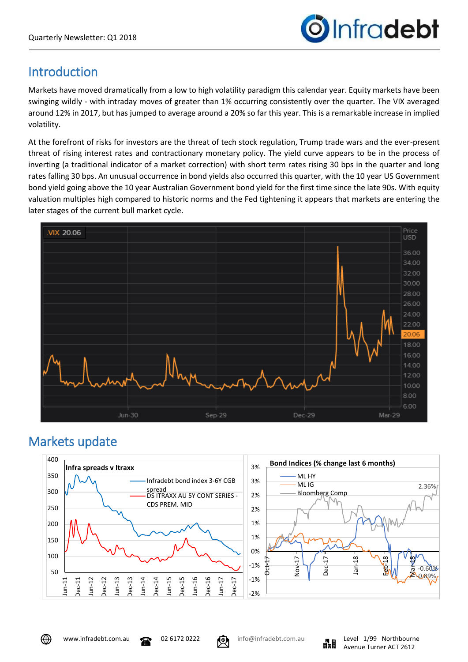

# **Introduction**

Markets have moved dramatically from a low to high volatility paradigm this calendar year. Equity markets have been swinging wildly - with intraday moves of greater than 1% occurring consistently over the quarter. The VIX averaged around 12% in 2017, but has jumped to average around a 20% so far this year. This is a remarkable increase in implied volatility.

At the forefront of risks for investors are the threat of tech stock regulation, Trump trade wars and the ever-present threat of rising interest rates and contractionary monetary policy. The yield curve appears to be in the process of inverting (a traditional indicator of a market correction) with short term rates rising 30 bps in the quarter and long rates falling 30 bps. An unusual occurrence in bond yields also occurred this quarter, with the 10 year US Government bond yield going above the 10 year Australian Government bond yield for the first time since the late 90s. With equity valuation multiples high compared to historic norms and the Fed tightening it appears that markets are entering the later stages of the current bull market cycle.



# Markets update





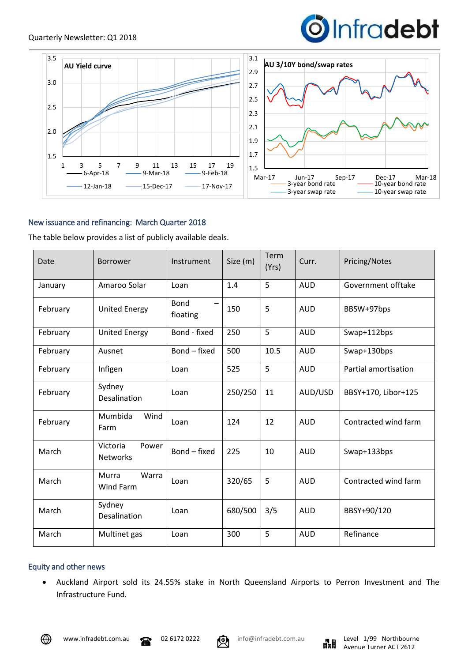



## New issuance and refinancing: March Quarter 2018

The table below provides a list of publicly available deals.

| Date     | <b>Borrower</b>                      | Instrument              | Size (m) | Term<br>(Yrs) | Curr.      | Pricing/Notes               |
|----------|--------------------------------------|-------------------------|----------|---------------|------------|-----------------------------|
| January  | Amaroo Solar                         | Loan                    | 1.4      | 5             | <b>AUD</b> | Government offtake          |
| February | <b>United Energy</b>                 | <b>Bond</b><br>floating | 150      | 5             | <b>AUD</b> | BBSW+97bps                  |
| February | <b>United Energy</b>                 | Bond - fixed            | 250      | 5             | <b>AUD</b> | Swap+112bps                 |
| February | Ausnet                               | Bond - fixed            | 500      | 10.5          | <b>AUD</b> | Swap+130bps                 |
| February | Infigen                              | Loan                    | 525      | 5             | <b>AUD</b> | <b>Partial amortisation</b> |
| February | Sydney<br><b>Desalination</b>        | Loan                    | 250/250  | 11            | AUD/USD    | BBSY+170, Libor+125         |
| February | Mumbida<br>Wind<br>Farm              | Loan                    | 124      | 12            | <b>AUD</b> | Contracted wind farm        |
| March    | Victoria<br>Power<br><b>Networks</b> | Bond - fixed            | 225      | 10            | <b>AUD</b> | Swap+133bps                 |
| March    | Murra<br>Warra<br><b>Wind Farm</b>   | Loan                    | 320/65   | 5             | <b>AUD</b> | Contracted wind farm        |
| March    | Sydney<br>Desalination               | Loan                    | 680/500  | 3/5           | <b>AUD</b> | BBSY+90/120                 |
| March    | Multinet gas                         | Loan                    | 300      | 5             | <b>AUD</b> | Refinance                   |

## Equity and other news

• Auckland Airport sold its 24.55% stake in North Queensland Airports to Perron Investment and The Infrastructure Fund.



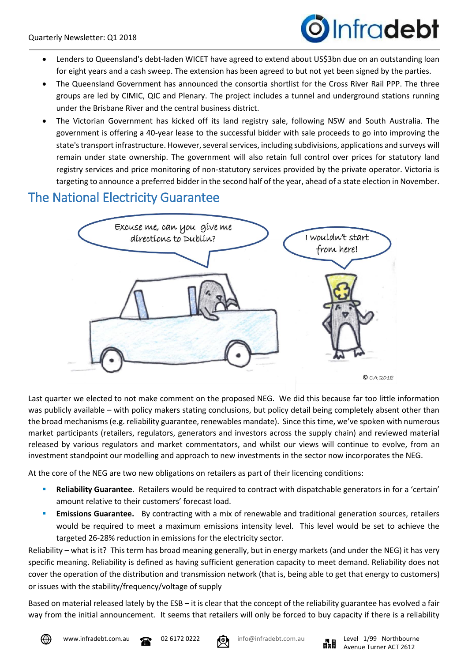

- Lenders to Queensland's debt-laden WICET have agreed to extend about US\$3bn due on an outstanding loan for eight years and a cash sweep. The extension has been agreed to but not yet been signed by the parties.
- The Queensland Government has announced the consortia shortlist for the Cross River Rail PPP. The three groups are led by CIMIC, QIC and Plenary. The project includes a tunnel and underground stations running under the Brisbane River and the central business district.
- The Victorian Government has kicked off its land registry sale, following NSW and South Australia. The government is offering a 40-year lease to the successful bidder with sale proceeds to go into improving the state's transport infrastructure. However, several services, including subdivisions, applications and surveys will remain under state ownership. The government will also retain full control over prices for statutory land registry services and price monitoring of non-statutory services provided by the private operator. Victoria is targeting to announce a preferred bidder in the second half of the year, ahead of a state election in November.

## The National Electricity Guarantee



Last quarter we elected to not make comment on the proposed NEG. We did this because far too little information was publicly available – with policy makers stating conclusions, but policy detail being completely absent other than the broad mechanisms (e.g. reliability guarantee, renewables mandate). Since this time, we've spoken with numerous market participants (retailers, regulators, generators and investors across the supply chain) and reviewed material released by various regulators and market commentators, and whilst our views will continue to evolve, from an investment standpoint our modelling and approach to new investments in the sector now incorporates the NEG.

At the core of the NEG are two new obligations on retailers as part of their licencing conditions:

- **Reliability Guarantee**. Retailers would be required to contract with dispatchable generators in for a 'certain' amount relative to their customers' forecast load.
- **Emissions Guarantee.** By contracting with a mix of renewable and traditional generation sources, retailers would be required to meet a maximum emissions intensity level. This level would be set to achieve the targeted 26-28% reduction in emissions for the electricity sector.

Reliability – what is it? This term has broad meaning generally, but in energy markets (and under the NEG) it has very specific meaning. Reliability is defined as having sufficient generation capacity to meet demand. Reliability does not cover the operation of the distribution and transmission network (that is, being able to get that energy to customers) or issues with the stability/frequency/voltage of supply

Based on material released lately by the ESB – it is clear that the concept of the reliability guarantee has evolved a fair way from the initial announcement. It seems that retailers will only be forced to buy capacity if there is a reliability



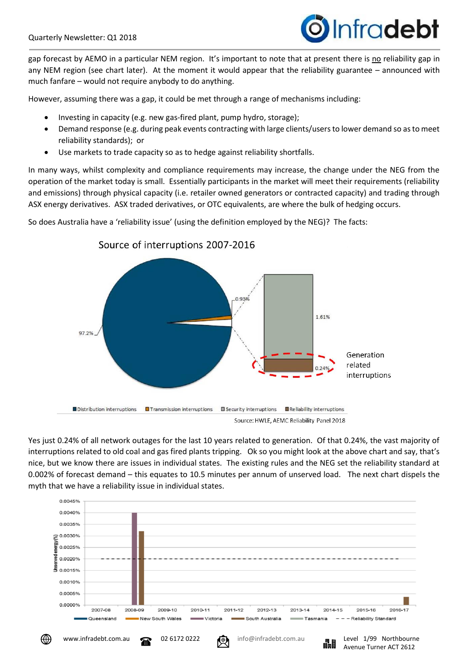

Avenue Turner ACT 2612

gap forecast by AEMO in a particular NEM region. It's important to note that at present there is no reliability gap in any NEM region (see chart later). At the moment it would appear that the reliability guarantee – announced with much fanfare – would not require anybody to do anything.

However, assuming there was a gap, it could be met through a range of mechanisms including:

- Investing in capacity (e.g. new gas-fired plant, pump hydro, storage);
- Demand response (e.g. during peak events contracting with large clients/users to lower demand so as to meet reliability standards); or
- Use markets to trade capacity so as to hedge against reliability shortfalls.

In many ways, whilst complexity and compliance requirements may increase, the change under the NEG from the operation of the market today is small. Essentially participants in the market will meet their requirements (reliability and emissions) through physical capacity (i.e. retailer owned generators or contracted capacity) and trading through ASX energy derivatives. ASX traded derivatives, or OTC equivalents, are where the bulk of hedging occurs.



So does Australia have a 'reliability issue' (using the definition employed by the NEG)? The facts:

Yes just 0.24% of all network outages for the last 10 years related to generation. Of that 0.24%, the vast majority of interruptions related to old coal and gas fired plants tripping. Ok so you might look at the above chart and say, that's nice, but we know there are issues in individual states. The existing rules and the NEG set the reliability standard at 0.002% of forecast demand – this equates to 10.5 minutes per annum of unserved load. The next chart dispels the myth that we have a reliability issue in individual states.

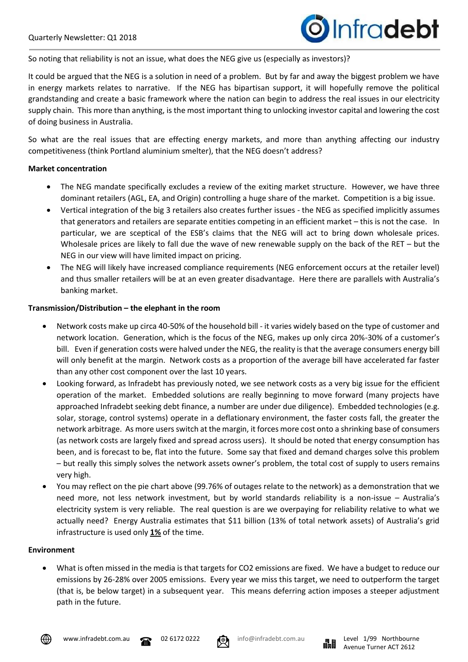

So noting that reliability is not an issue, what does the NEG give us (especially as investors)?

It could be argued that the NEG is a solution in need of a problem. But by far and away the biggest problem we have in energy markets relates to narrative. If the NEG has bipartisan support, it will hopefully remove the political grandstanding and create a basic framework where the nation can begin to address the real issues in our electricity supply chain. This more than anything, is the most important thing to unlocking investor capital and lowering the cost of doing business in Australia.

So what are the real issues that are effecting energy markets, and more than anything affecting our industry competitiveness (think Portland aluminium smelter), that the NEG doesn't address?

## **Market concentration**

- The NEG mandate specifically excludes a review of the exiting market structure. However, we have three dominant retailers (AGL, EA, and Origin) controlling a huge share of the market. Competition is a big issue.
- Vertical integration of the big 3 retailers also creates further issues the NEG as specified implicitly assumes that generators and retailers are separate entities competing in an efficient market – this is not the case. In particular, we are sceptical of the ESB's claims that the NEG will act to bring down wholesale prices. Wholesale prices are likely to fall due the wave of new renewable supply on the back of the RET – but the NEG in our view will have limited impact on pricing.
- The NEG will likely have increased compliance requirements (NEG enforcement occurs at the retailer level) and thus smaller retailers will be at an even greater disadvantage. Here there are parallels with Australia's banking market.

## **Transmission/Distribution – the elephant in the room**

- Network costs make up circa 40-50% of the household bill it varies widely based on the type of customer and network location. Generation, which is the focus of the NEG, makes up only circa 20%-30% of a customer's bill. Even if generation costs were halved under the NEG, the reality is that the average consumers energy bill will only benefit at the margin. Network costs as a proportion of the average bill have accelerated far faster than any other cost component over the last 10 years.
- Looking forward, as Infradebt has previously noted, we see network costs as a very big issue for the efficient operation of the market. Embedded solutions are really beginning to move forward (many projects have approached Infradebt seeking debt finance, a number are under due diligence). Embedded technologies (e.g. solar, storage, control systems) operate in a deflationary environment, the faster costs fall, the greater the network arbitrage. As more users switch at the margin, it forces more cost onto a shrinking base of consumers (as network costs are largely fixed and spread across users). It should be noted that energy consumption has been, and is forecast to be, flat into the future. Some say that fixed and demand charges solve this problem – but really this simply solves the network assets owner's problem, the total cost of supply to users remains very high.
- You may reflect on the pie chart above (99.76% of outages relate to the network) as a demonstration that we need more, not less network investment, but by world standards reliability is a non-issue – Australia's electricity system is very reliable. The real question is are we overpaying for reliability relative to what we actually need? Energy Australia estimates that \$11 billion (13% of total network assets) of Australia's grid infrastructure is used only **1%** of the time.

#### **Environment**

• What is often missed in the media is that targets for CO2 emissions are fixed. We have a budget to reduce our emissions by 26-28% over 2005 emissions. Every year we miss this target, we need to outperform the target (that is, be below target) in a subsequent year. This means deferring action imposes a steeper adjustment path in the future.



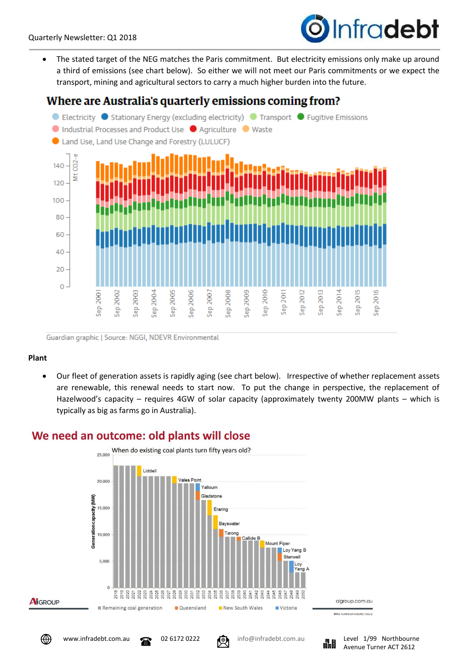# Infradebt

• The stated target of the NEG matches the Paris commitment. But electricity emissions only make up around a third of emissions (see chart below). So either we will not meet our Paris commitments or we expect the transport, mining and agricultural sectors to carry a much higher burden into the future.

## Where are Australia's quarterly emissions coming from?



Guardian graphic | Source: NGGI, NDEVR Environmental

## **Plant**

• Our fleet of generation assets is rapidly aging (see chart below). Irrespective of whether replacement assets are renewable, this renewal needs to start now. To put the change in perspective, the replacement of Hazelwood's capacity – requires 4GW of solar capacity (approximately twenty 200MW plants – which is typically as big as farms go in Australia).

# We need an outcome: old plants will close





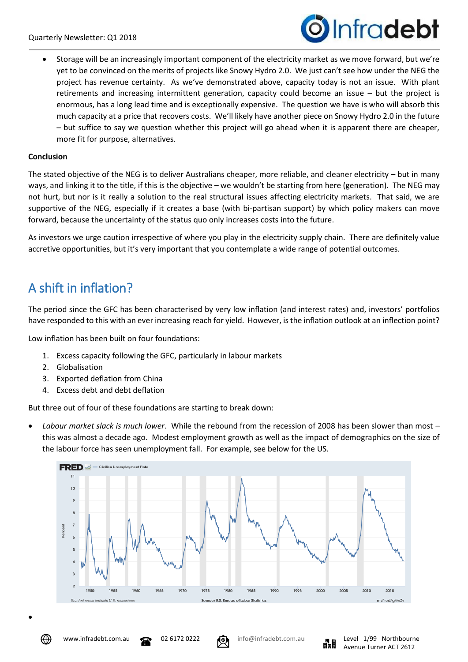

• Storage will be an increasingly important component of the electricity market as we move forward, but we're yet to be convinced on the merits of projects like Snowy Hydro 2.0. We just can't see how under the NEG the project has revenue certainty. As we've demonstrated above, capacity today is not an issue. With plant retirements and increasing intermittent generation, capacity could become an issue – but the project is enormous, has a long lead time and is exceptionally expensive. The question we have is who will absorb this much capacity at a price that recovers costs. We'll likely have another piece on Snowy Hydro 2.0 in the future – but suffice to say we question whether this project will go ahead when it is apparent there are cheaper, more fit for purpose, alternatives.

## **Conclusion**

The stated objective of the NEG is to deliver Australians cheaper, more reliable, and cleaner electricity – but in many ways, and linking it to the title, if this is the objective – we wouldn't be starting from here (generation). The NEG may not hurt, but nor is it really a solution to the real structural issues affecting electricity markets. That said, we are supportive of the NEG, especially if it creates a base (with bi-partisan support) by which policy makers can move forward, because the uncertainty of the status quo only increases costs into the future.

As investors we urge caution irrespective of where you play in the electricity supply chain. There are definitely value accretive opportunities, but it's very important that you contemplate a wide range of potential outcomes.

# A shift in inflation?

The period since the GFC has been characterised by very low inflation (and interest rates) and, investors' portfolios have responded to this with an ever increasing reach for yield. However, is the inflation outlook at an inflection point?

Low inflation has been built on four foundations:

- 1. Excess capacity following the GFC, particularly in labour markets
- 2. Globalisation
- 3. Exported deflation from China
- 4. Excess debt and debt deflation

But three out of four of these foundations are starting to break down:

• *Labour market slack is much lower*. While the rebound from the recession of 2008 has been slower than most – this was almost a decade ago. Modest employment growth as well as the impact of demographics on the size of the labour force has seen unemployment fall. For example, see below for the US.





•



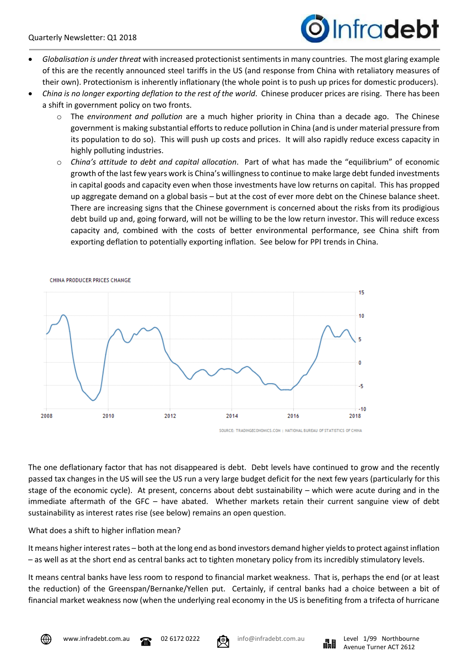

- *Globalisation is under threat* with increased protectionist sentiments in many countries. The most glaring example of this are the recently announced steel tariffs in the US (and response from China with retaliatory measures of their own). Protectionism is inherently inflationary (the whole point is to push up prices for domestic producers).
- *China is no longer exporting deflation to the rest of the world*. Chinese producer prices are rising. There has been a shift in government policy on two fronts.
	- o The *environment and pollution* are a much higher priority in China than a decade ago. The Chinese government is making substantial efforts to reduce pollution in China (and is under material pressure from its population to do so). This will push up costs and prices. It will also rapidly reduce excess capacity in highly polluting industries.
	- o *China's attitude to debt and capital allocation*. Part of what has made the "equilibrium" of economic growth of the last few years work is China's willingness to continue to make large debt funded investments in capital goods and capacity even when those investments have low returns on capital. This has propped up aggregate demand on a global basis – but at the cost of ever more debt on the Chinese balance sheet. There are increasing signs that the Chinese government is concerned about the risks from its prodigious debt build up and, going forward, will not be willing to be the low return investor. This will reduce excess capacity and, combined with the costs of better environmental performance, see China shift from exporting deflation to potentially exporting inflation. See below for PPI trends in China.



The one deflationary factor that has not disappeared is debt. Debt levels have continued to grow and the recently passed tax changes in the US will see the US run a very large budget deficit for the next few years (particularly for this stage of the economic cycle). At present, concerns about debt sustainability – which were acute during and in the immediate aftermath of the GFC – have abated. Whether markets retain their current sanguine view of debt sustainability as interest rates rise (see below) remains an open question.

## What does a shift to higher inflation mean?

It means higher interest rates – both at the long end as bond investors demand higher yields to protect against inflation – as well as at the short end as central banks act to tighten monetary policy from its incredibly stimulatory levels.

It means central banks have less room to respond to financial market weakness. That is, perhaps the end (or at least the reduction) of the Greenspan/Bernanke/Yellen put. Certainly, if central banks had a choice between a bit of financial market weakness now (when the underlying real economy in the US is benefiting from a trifecta of hurricane







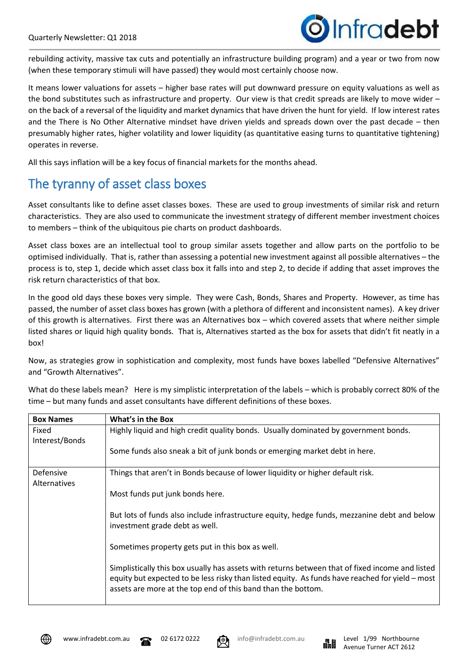

rebuilding activity, massive tax cuts and potentially an infrastructure building program) and a year or two from now (when these temporary stimuli will have passed) they would most certainly choose now.

It means lower valuations for assets – higher base rates will put downward pressure on equity valuations as well as the bond substitutes such as infrastructure and property. Our view is that credit spreads are likely to move wider – on the back of a reversal of the liquidity and market dynamics that have driven the hunt for yield. If low interest rates and the There is No Other Alternative mindset have driven yields and spreads down over the past decade – then presumably higher rates, higher volatility and lower liquidity (as quantitative easing turns to quantitative tightening) operates in reverse.

All this says inflation will be a key focus of financial markets for the months ahead.

# The tyranny of asset class boxes

Asset consultants like to define asset classes boxes. These are used to group investments of similar risk and return characteristics. They are also used to communicate the investment strategy of different member investment choices to members – think of the ubiquitous pie charts on product dashboards.

Asset class boxes are an intellectual tool to group similar assets together and allow parts on the portfolio to be optimised individually. That is, rather than assessing a potential new investment against all possible alternatives – the process is to, step 1, decide which asset class box it falls into and step 2, to decide if adding that asset improves the risk return characteristics of that box.

In the good old days these boxes very simple. They were Cash, Bonds, Shares and Property. However, as time has passed, the number of asset class boxes has grown (with a plethora of different and inconsistent names). A key driver of this growth is alternatives. First there was an Alternatives box – which covered assets that where neither simple listed shares or liquid high quality bonds. That is, Alternatives started as the box for assets that didn't fit neatly in a box!

Now, as strategies grow in sophistication and complexity, most funds have boxes labelled "Defensive Alternatives" and "Growth Alternatives".

What do these labels mean? Here is my simplistic interpretation of the labels – which is probably correct 80% of the time – but many funds and asset consultants have different definitions of these boxes.

| <b>Box Names</b>          | What's in the Box                                                                                                                                                                                                                                                  |  |  |  |  |
|---------------------------|--------------------------------------------------------------------------------------------------------------------------------------------------------------------------------------------------------------------------------------------------------------------|--|--|--|--|
| Fixed<br>Interest/Bonds   | Highly liquid and high credit quality bonds. Usually dominated by government bonds.                                                                                                                                                                                |  |  |  |  |
|                           | Some funds also sneak a bit of junk bonds or emerging market debt in here.                                                                                                                                                                                         |  |  |  |  |
| Defensive<br>Alternatives | Things that aren't in Bonds because of lower liquidity or higher default risk.                                                                                                                                                                                     |  |  |  |  |
|                           | Most funds put junk bonds here.                                                                                                                                                                                                                                    |  |  |  |  |
|                           | But lots of funds also include infrastructure equity, hedge funds, mezzanine debt and below<br>investment grade debt as well.                                                                                                                                      |  |  |  |  |
|                           | Sometimes property gets put in this box as well.                                                                                                                                                                                                                   |  |  |  |  |
|                           | Simplistically this box usually has assets with returns between that of fixed income and listed<br>equity but expected to be less risky than listed equity. As funds have reached for yield – most<br>assets are more at the top end of this band than the bottom. |  |  |  |  |





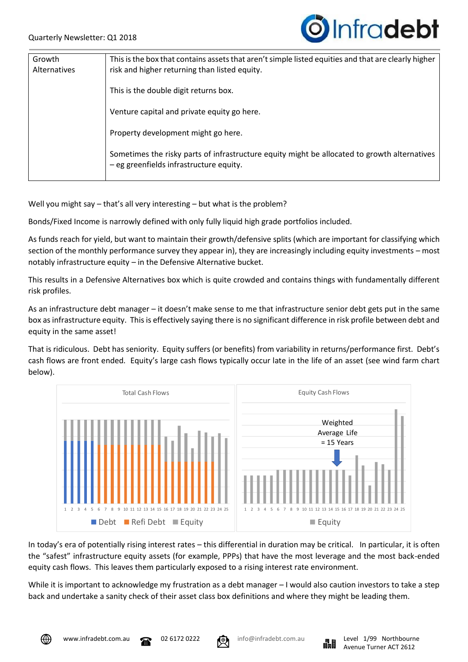

| Growth              | This is the box that contains assets that aren't simple listed equities and that are clearly higher |  |  |
|---------------------|-----------------------------------------------------------------------------------------------------|--|--|
| <b>Alternatives</b> | risk and higher returning than listed equity.                                                       |  |  |
|                     |                                                                                                     |  |  |
|                     | This is the double digit returns box.                                                               |  |  |
|                     |                                                                                                     |  |  |
|                     | Venture capital and private equity go here.                                                         |  |  |
|                     |                                                                                                     |  |  |
|                     | Property development might go here.                                                                 |  |  |
|                     |                                                                                                     |  |  |
|                     | Sometimes the risky parts of infrastructure equity might be allocated to growth alternatives        |  |  |
|                     | - eg greenfields infrastructure equity.                                                             |  |  |
|                     |                                                                                                     |  |  |

Well you might say – that's all very interesting – but what is the problem?

Bonds/Fixed Income is narrowly defined with only fully liquid high grade portfolios included.

As funds reach for yield, but want to maintain their growth/defensive splits (which are important for classifying which section of the monthly performance survey they appear in), they are increasingly including equity investments – most notably infrastructure equity – in the Defensive Alternative bucket.

This results in a Defensive Alternatives box which is quite crowded and contains things with fundamentally different risk profiles.

As an infrastructure debt manager – it doesn't make sense to me that infrastructure senior debt gets put in the same box as infrastructure equity. This is effectively saying there is no significant difference in risk profile between debt and equity in the same asset!

That is ridiculous. Debt has seniority. Equity suffers (or benefits) from variability in returns/performance first. Debt's cash flows are front ended. Equity's large cash flows typically occur late in the life of an asset (see wind farm chart below).



In today's era of potentially rising interest rates – this differential in duration may be critical. In particular, it is often the "safest" infrastructure equity assets (for example, PPPs) that have the most leverage and the most back-ended equity cash flows. This leaves them particularly exposed to a rising interest rate environment.

While it is important to acknowledge my frustration as a debt manager – I would also caution investors to take a step back and undertake a sanity check of their asset class box definitions and where they might be leading them.